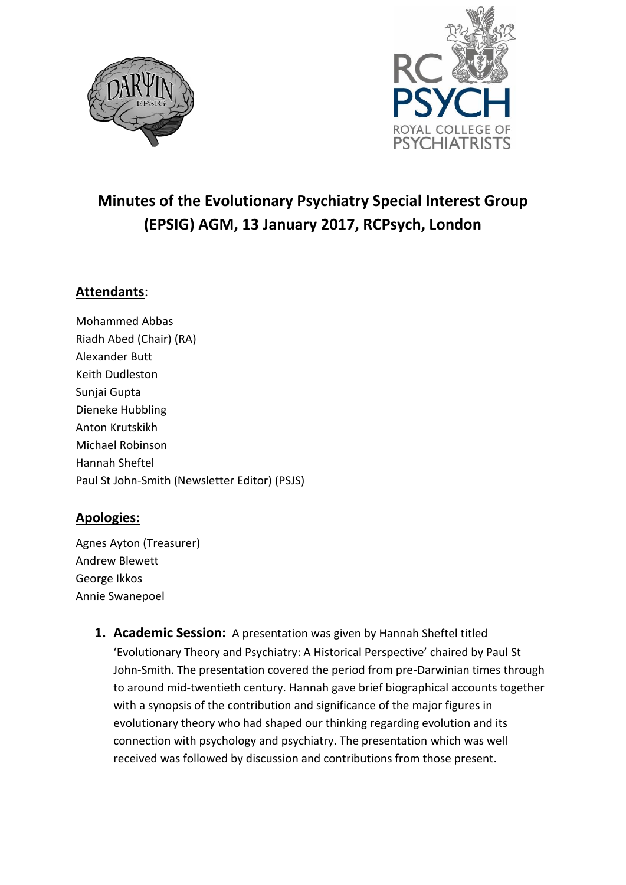



# **Minutes of the Evolutionary Psychiatry Special Interest Group (EPSIG) AGM, 13 January 2017, RCPsych, London**

## **Attendants**:

Mohammed Abbas Riadh Abed (Chair) (RA) Alexander Butt Keith Dudleston Sunjai Gupta Dieneke Hubbling Anton Krutskikh Michael Robinson Hannah Sheftel Paul St John-Smith (Newsletter Editor) (PSJS)

### **Apologies:**

Agnes Ayton (Treasurer) Andrew Blewett George Ikkos Annie Swanepoel

> **1. Academic Session:** A presentation was given by Hannah Sheftel titled 'Evolutionary Theory and Psychiatry: A Historical Perspective' chaired by Paul St John-Smith. The presentation covered the period from pre-Darwinian times through to around mid-twentieth century. Hannah gave brief biographical accounts together with a synopsis of the contribution and significance of the major figures in evolutionary theory who had shaped our thinking regarding evolution and its connection with psychology and psychiatry. The presentation which was well received was followed by discussion and contributions from those present.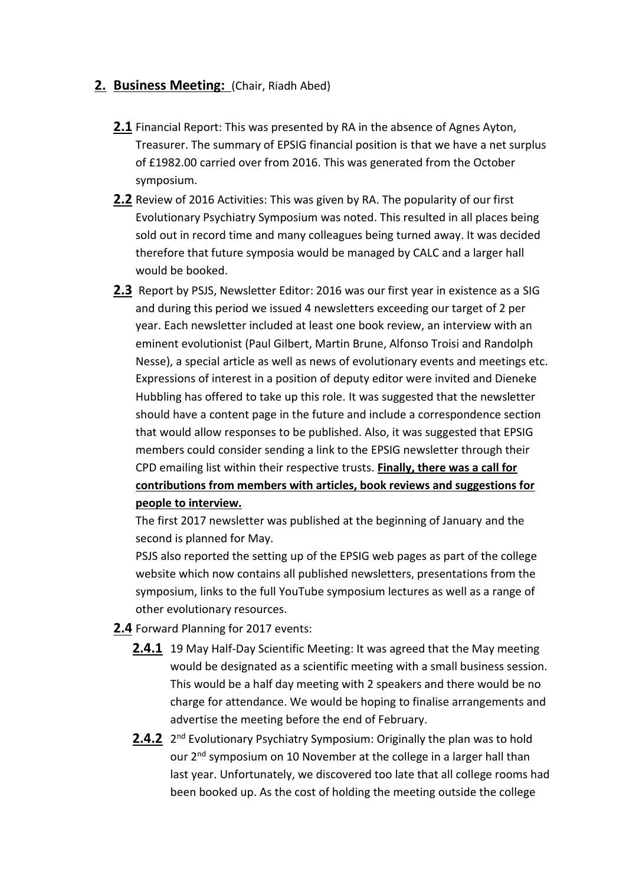#### **2. Business Meeting:** (Chair, Riadh Abed)

- **2.1** Financial Report: This was presented by RA in the absence of Agnes Ayton, Treasurer. The summary of EPSIG financial position is that we have a net surplus of £1982.00 carried over from 2016. This was generated from the October symposium.
- **2.2** Review of 2016 Activities: This was given by RA. The popularity of our first Evolutionary Psychiatry Symposium was noted. This resulted in all places being sold out in record time and many colleagues being turned away. It was decided therefore that future symposia would be managed by CALC and a larger hall would be booked.
- **2.3** Report by PSJS, Newsletter Editor: 2016 was our first year in existence as a SIG and during this period we issued 4 newsletters exceeding our target of 2 per year. Each newsletter included at least one book review, an interview with an eminent evolutionist (Paul Gilbert, Martin Brune, Alfonso Troisi and Randolph Nesse), a special article as well as news of evolutionary events and meetings etc. Expressions of interest in a position of deputy editor were invited and Dieneke Hubbling has offered to take up this role. It was suggested that the newsletter should have a content page in the future and include a correspondence section that would allow responses to be published. Also, it was suggested that EPSIG members could consider sending a link to the EPSIG newsletter through their CPD emailing list within their respective trusts. **Finally, there was a call for contributions from members with articles, book reviews and suggestions for people to interview.**

The first 2017 newsletter was published at the beginning of January and the second is planned for May.

PSJS also reported the setting up of the EPSIG web pages as part of the college website which now contains all published newsletters, presentations from the symposium, links to the full YouTube symposium lectures as well as a range of other evolutionary resources.

#### **2.4** Forward Planning for 2017 events:

- **2.4.1** 19 May Half-Day Scientific Meeting: It was agreed that the May meeting would be designated as a scientific meeting with a small business session. This would be a half day meeting with 2 speakers and there would be no charge for attendance. We would be hoping to finalise arrangements and advertise the meeting before the end of February.
- 2.4.2 2<sup>nd</sup> Evolutionary Psychiatry Symposium: Originally the plan was to hold our 2<sup>nd</sup> symposium on 10 November at the college in a larger hall than last year. Unfortunately, we discovered too late that all college rooms had been booked up. As the cost of holding the meeting outside the college